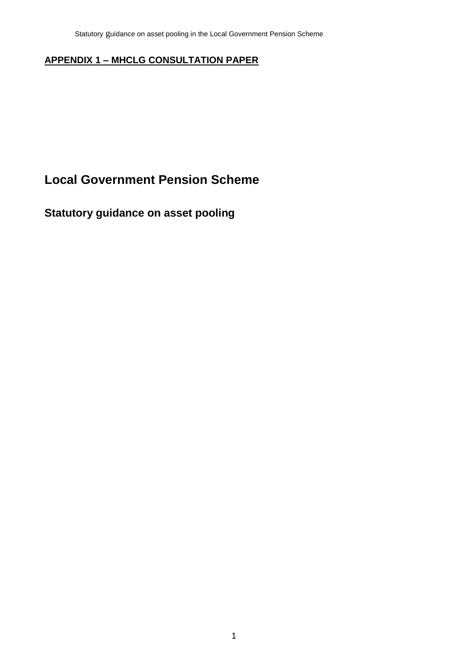### **APPENDIX 1 – MHCLG CONSULTATION PAPER**

# **Local Government Pension Scheme**

## **Statutory guidance on asset pooling**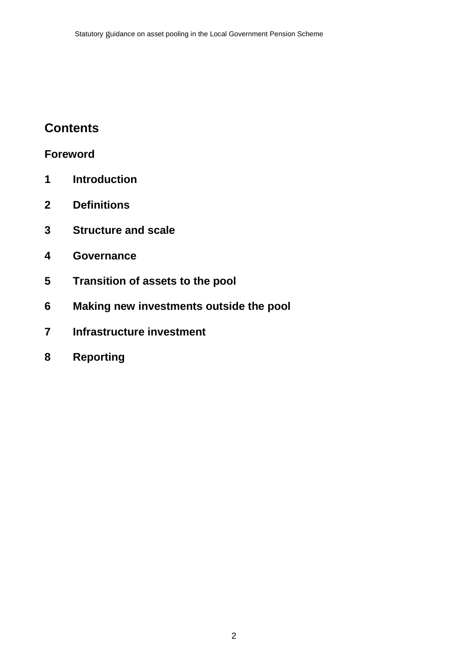# **Contents**

# **Foreword**

- **Introduction**
- **Definitions**
- **Structure and scale**
- **Governance**
- **Transition of assets to the pool**
- **Making new investments outside the pool**
- **Infrastructure investment**
- **Reporting**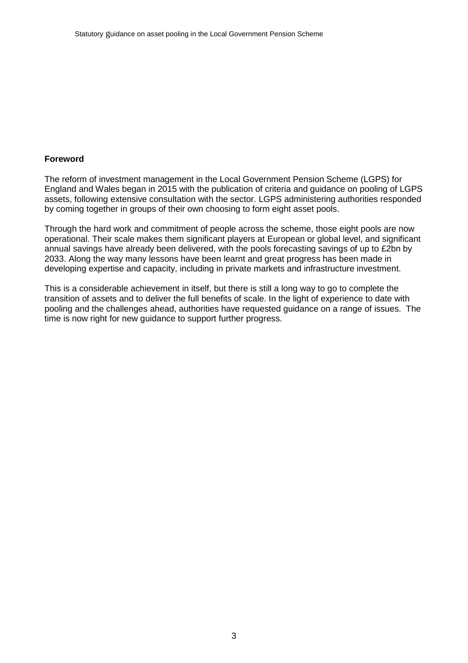#### **Foreword**

The reform of investment management in the Local Government Pension Scheme (LGPS) for England and Wales began in 2015 with the publication of criteria and guidance on pooling of LGPS assets, following extensive consultation with the sector. LGPS administering authorities responded by coming together in groups of their own choosing to form eight asset pools.

Through the hard work and commitment of people across the scheme, those eight pools are now operational. Their scale makes them significant players at European or global level, and significant annual savings have already been delivered, with the pools forecasting savings of up to £2bn by 2033. Along the way many lessons have been learnt and great progress has been made in developing expertise and capacity, including in private markets and infrastructure investment.

This is a considerable achievement in itself, but there is still a long way to go to complete the transition of assets and to deliver the full benefits of scale. In the light of experience to date with pooling and the challenges ahead, authorities have requested guidance on a range of issues. The time is now right for new guidance to support further progress.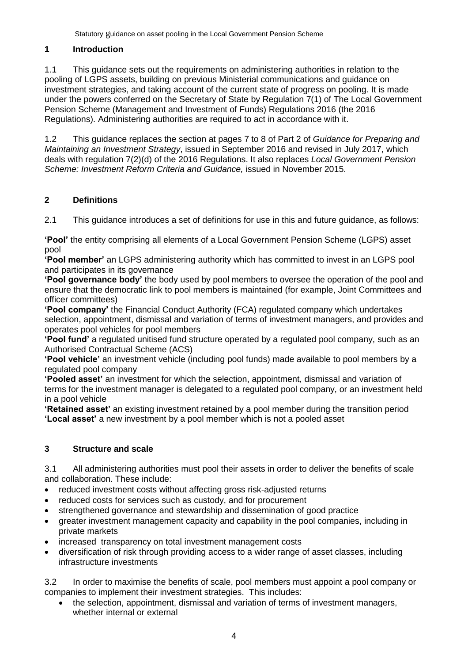#### **1 Introduction**

1.1 This guidance sets out the requirements on administering authorities in relation to the pooling of LGPS assets, building on previous Ministerial communications and guidance on investment strategies, and taking account of the current state of progress on pooling. It is made under the powers conferred on the Secretary of State by Regulation 7(1) of The Local Government Pension Scheme (Management and Investment of Funds) Regulations 2016 (the 2016 Regulations). Administering authorities are required to act in accordance with it.

1.2 This guidance replaces the section at pages 7 to 8 of Part 2 of *Guidance for Preparing and Maintaining an Investment Strategy*, issued in September 2016 and revised in July 2017, which deals with regulation 7(2)(d) of the 2016 Regulations. It also replaces *Local Government Pension Scheme: Investment Reform Criteria and Guidance,* issued in November 2015.

#### **2 Definitions**

2.1 This guidance introduces a set of definitions for use in this and future guidance, as follows:

**'Pool'** the entity comprising all elements of a Local Government Pension Scheme (LGPS) asset pool

**'Pool member'** an LGPS administering authority which has committed to invest in an LGPS pool and participates in its governance

**'Pool governance body'** the body used by pool members to oversee the operation of the pool and ensure that the democratic link to pool members is maintained (for example, Joint Committees and officer committees)

**'Pool company'** the Financial Conduct Authority (FCA) regulated company which undertakes selection, appointment, dismissal and variation of terms of investment managers, and provides and operates pool vehicles for pool members

**'Pool fund'** a regulated unitised fund structure operated by a regulated pool company, such as an Authorised Contractual Scheme (ACS)

**'Pool vehicle'** an investment vehicle (including pool funds) made available to pool members by a regulated pool company

**'Pooled asset'** an investment for which the selection, appointment, dismissal and variation of terms for the investment manager is delegated to a regulated pool company, or an investment held in a pool vehicle

**'Retained asset'** an existing investment retained by a pool member during the transition period **'Local asset'** a new investment by a pool member which is not a pooled asset

#### **3 Structure and scale**

3.1 All administering authorities must pool their assets in order to deliver the benefits of scale and collaboration. These include:

- reduced investment costs without affecting gross risk-adjusted returns
- reduced costs for services such as custody, and for procurement
- strengthened governance and stewardship and dissemination of good practice
- greater investment management capacity and capability in the pool companies, including in private markets
- increased transparency on total investment management costs
- diversification of risk through providing access to a wider range of asset classes, including infrastructure investments

3.2 In order to maximise the benefits of scale, pool members must appoint a pool company or companies to implement their investment strategies. This includes:

• the selection, appointment, dismissal and variation of terms of investment managers, whether internal or external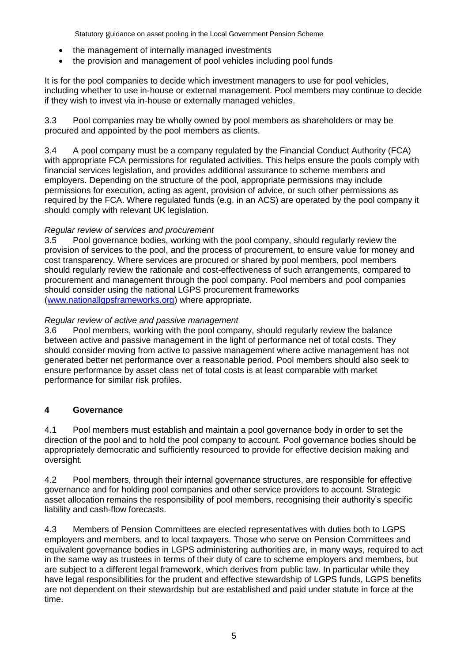Statutory guidance on asset pooling in the Local Government Pension Scheme

- the management of internally managed investments
- the provision and management of pool vehicles including pool funds

It is for the pool companies to decide which investment managers to use for pool vehicles, including whether to use in-house or external management. Pool members may continue to decide if they wish to invest via in-house or externally managed vehicles.

3.3 Pool companies may be wholly owned by pool members as shareholders or may be procured and appointed by the pool members as clients.

3.4 A pool company must be a company regulated by the Financial Conduct Authority (FCA) with appropriate FCA permissions for regulated activities. This helps ensure the pools comply with financial services legislation, and provides additional assurance to scheme members and employers. Depending on the structure of the pool, appropriate permissions may include permissions for execution, acting as agent, provision of advice, or such other permissions as required by the FCA. Where regulated funds (e.g. in an ACS) are operated by the pool company it should comply with relevant UK legislation.

#### *Regular review of services and procurement*

3.5 Pool governance bodies, working with the pool company, should regularly review the provision of services to the pool, and the process of procurement, to ensure value for money and cost transparency. Where services are procured or shared by pool members, pool members should regularly review the rationale and cost-effectiveness of such arrangements, compared to procurement and management through the pool company. Pool members and pool companies should consider using the national LGPS procurement frameworks [\(www.nationallgpsframeworks.org\)](http://www.nationallgpsframeworks.org/) where appropriate.

#### *Regular review of active and passive management*

3.6 Pool members, working with the pool company, should regularly review the balance between active and passive management in the light of performance net of total costs. They should consider moving from active to passive management where active management has not generated better net performance over a reasonable period. Pool members should also seek to ensure performance by asset class net of total costs is at least comparable with market performance for similar risk profiles.

#### **4 Governance**

4.1 Pool members must establish and maintain a pool governance body in order to set the direction of the pool and to hold the pool company to account*.* Pool governance bodies should be appropriately democratic and sufficiently resourced to provide for effective decision making and oversight.

4.2 Pool members, through their internal governance structures, are responsible for effective governance and for holding pool companies and other service providers to account. Strategic asset allocation remains the responsibility of pool members, recognising their authority's specific liability and cash-flow forecasts.

4.3 Members of Pension Committees are elected representatives with duties both to LGPS employers and members, and to local taxpayers. Those who serve on Pension Committees and equivalent governance bodies in LGPS administering authorities are, in many ways, required to act in the same way as trustees in terms of their duty of care to scheme employers and members, but are subject to a different legal framework, which derives from public law. In particular while they have legal responsibilities for the prudent and effective stewardship of LGPS funds, LGPS benefits are not dependent on their stewardship but are established and paid under statute in force at the time.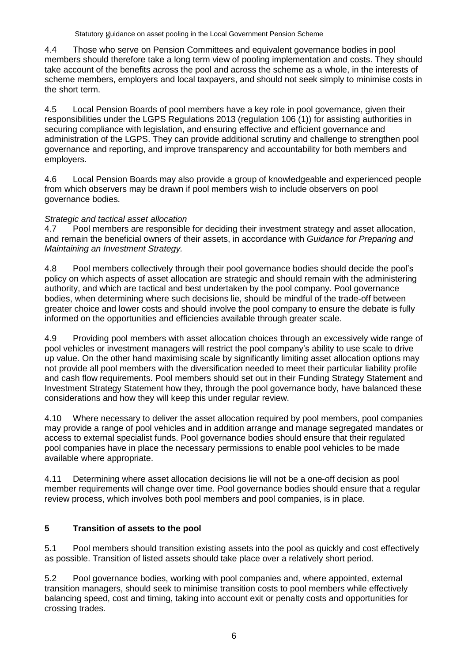4.4 Those who serve on Pension Committees and equivalent governance bodies in pool members should therefore take a long term view of pooling implementation and costs. They should take account of the benefits across the pool and across the scheme as a whole, in the interests of scheme members, employers and local taxpayers, and should not seek simply to minimise costs in the short term.

4.5 Local Pension Boards of pool members have a key role in pool governance, given their responsibilities under the LGPS Regulations 2013 (regulation 106 (1)) for assisting authorities in securing compliance with legislation, and ensuring effective and efficient governance and administration of the LGPS. They can provide additional scrutiny and challenge to strengthen pool governance and reporting, and improve transparency and accountability for both members and employers.

4.6 Local Pension Boards may also provide a group of knowledgeable and experienced people from which observers may be drawn if pool members wish to include observers on pool governance bodies.

#### *Strategic and tactical asset allocation*

4.7 Pool members are responsible for deciding their investment strategy and asset allocation, and remain the beneficial owners of their assets, in accordance with *Guidance for Preparing and Maintaining an Investment Strategy.*

4.8 Pool members collectively through their pool governance bodies should decide the pool's policy on which aspects of asset allocation are strategic and should remain with the administering authority, and which are tactical and best undertaken by the pool company. Pool governance bodies, when determining where such decisions lie, should be mindful of the trade-off between greater choice and lower costs and should involve the pool company to ensure the debate is fully informed on the opportunities and efficiencies available through greater scale.

4.9 Providing pool members with asset allocation choices through an excessively wide range of pool vehicles or investment managers will restrict the pool company's ability to use scale to drive up value. On the other hand maximising scale by significantly limiting asset allocation options may not provide all pool members with the diversification needed to meet their particular liability profile and cash flow requirements. Pool members should set out in their Funding Strategy Statement and Investment Strategy Statement how they, through the pool governance body, have balanced these considerations and how they will keep this under regular review.

4.10 Where necessary to deliver the asset allocation required by pool members, pool companies may provide a range of pool vehicles and in addition arrange and manage segregated mandates or access to external specialist funds. Pool governance bodies should ensure that their regulated pool companies have in place the necessary permissions to enable pool vehicles to be made available where appropriate.

4.11 Determining where asset allocation decisions lie will not be a one-off decision as pool member requirements will change over time. Pool governance bodies should ensure that a regular review process, which involves both pool members and pool companies, is in place.

#### **5 Transition of assets to the pool**

5.1 Pool members should transition existing assets into the pool as quickly and cost effectively as possible. Transition of listed assets should take place over a relatively short period.

5.2 Pool governance bodies, working with pool companies and, where appointed, external transition managers, should seek to minimise transition costs to pool members while effectively balancing speed, cost and timing, taking into account exit or penalty costs and opportunities for crossing trades.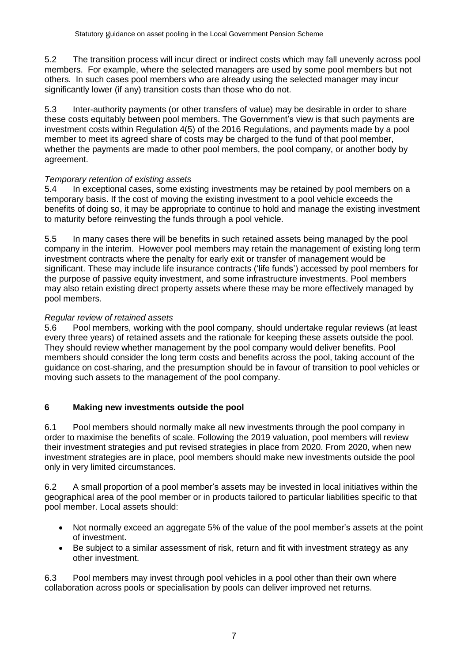5.2 The transition process will incur direct or indirect costs which may fall unevenly across pool members. For example, where the selected managers are used by some pool members but not others. In such cases pool members who are already using the selected manager may incur significantly lower (if any) transition costs than those who do not.

5.3 Inter-authority payments (or other transfers of value) may be desirable in order to share these costs equitably between pool members. The Government's view is that such payments are investment costs within Regulation 4(5) of the 2016 Regulations, and payments made by a pool member to meet its agreed share of costs may be charged to the fund of that pool member, whether the payments are made to other pool members, the pool company, or another body by agreement.

#### *Temporary retention of existing assets*

5.4 In exceptional cases, some existing investments may be retained by pool members on a temporary basis. If the cost of moving the existing investment to a pool vehicle exceeds the benefits of doing so, it may be appropriate to continue to hold and manage the existing investment to maturity before reinvesting the funds through a pool vehicle.

5.5 In many cases there will be benefits in such retained assets being managed by the pool company in the interim. However pool members may retain the management of existing long term investment contracts where the penalty for early exit or transfer of management would be significant. These may include life insurance contracts ('life funds') accessed by pool members for the purpose of passive equity investment, and some infrastructure investments. Pool members may also retain existing direct property assets where these may be more effectively managed by pool members.

#### *Regular review of retained assets*

5.6 Pool members, working with the pool company, should undertake regular reviews (at least every three years) of retained assets and the rationale for keeping these assets outside the pool. They should review whether management by the pool company would deliver benefits. Pool members should consider the long term costs and benefits across the pool, taking account of the guidance on cost-sharing, and the presumption should be in favour of transition to pool vehicles or moving such assets to the management of the pool company.

#### **6 Making new investments outside the pool**

6.1 Pool members should normally make all new investments through the pool company in order to maximise the benefits of scale. Following the 2019 valuation, pool members will review their investment strategies and put revised strategies in place from 2020. From 2020, when new investment strategies are in place, pool members should make new investments outside the pool only in very limited circumstances.

6.2 A small proportion of a pool member's assets may be invested in local initiatives within the geographical area of the pool member or in products tailored to particular liabilities specific to that pool member. Local assets should:

- Not normally exceed an aggregate 5% of the value of the pool member's assets at the point of investment.
- Be subject to a similar assessment of risk, return and fit with investment strategy as any other investment.

6.3 Pool members may invest through pool vehicles in a pool other than their own where collaboration across pools or specialisation by pools can deliver improved net returns.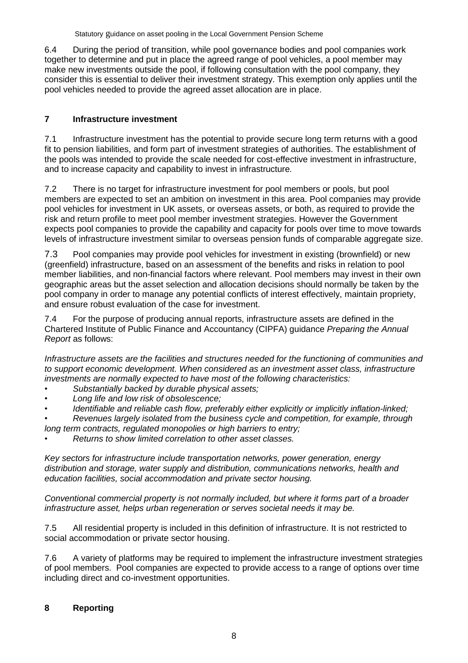6.4 During the period of transition, while pool governance bodies and pool companies work together to determine and put in place the agreed range of pool vehicles, a pool member may make new investments outside the pool, if following consultation with the pool company, they consider this is essential to deliver their investment strategy. This exemption only applies until the pool vehicles needed to provide the agreed asset allocation are in place.

### **7 Infrastructure investment**

7.1 Infrastructure investment has the potential to provide secure long term returns with a good fit to pension liabilities, and form part of investment strategies of authorities. The establishment of the pools was intended to provide the scale needed for cost-effective investment in infrastructure, and to increase capacity and capability to invest in infrastructure*.*

7.2 There is no target for infrastructure investment for pool members or pools, but pool members are expected to set an ambition on investment in this area. Pool companies may provide pool vehicles for investment in UK assets, or overseas assets, or both, as required to provide the risk and return profile to meet pool member investment strategies. However the Government expects pool companies to provide the capability and capacity for pools over time to move towards levels of infrastructure investment similar to overseas pension funds of comparable aggregate size.

7.3 Pool companies may provide pool vehicles for investment in existing (brownfield) or new (greenfield) infrastructure, based on an assessment of the benefits and risks in relation to pool member liabilities, and non-financial factors where relevant. Pool members may invest in their own geographic areas but the asset selection and allocation decisions should normally be taken by the pool company in order to manage any potential conflicts of interest effectively, maintain propriety, and ensure robust evaluation of the case for investment.

7.4 For the purpose of producing annual reports, infrastructure assets are defined in the Chartered Institute of Public Finance and Accountancy (CIPFA) guidance *Preparing the Annual Report* as follows:

*Infrastructure assets are the facilities and structures needed for the functioning of communities and to support economic development. When considered as an investment asset class, infrastructure investments are normally expected to have most of the following characteristics:*

- *• Substantially backed by durable physical assets;*
- *• Long life and low risk of obsolescence;*
- *• Identifiable and reliable cash flow, preferably either explicitly or implicitly inflation-linked;*
- *• Revenues largely isolated from the business cycle and competition, for example, through*

*long term contracts, regulated monopolies or high barriers to entry;*

*• Returns to show limited correlation to other asset classes.*

*Key sectors for infrastructure include transportation networks, power generation, energy distribution and storage, water supply and distribution, communications networks, health and education facilities, social accommodation and private sector housing.*

*Conventional commercial property is not normally included, but where it forms part of a broader infrastructure asset, helps urban regeneration or serves societal needs it may be.*

7.5 All residential property is included in this definition of infrastructure. It is not restricted to social accommodation or private sector housing.

7.6 A variety of platforms may be required to implement the infrastructure investment strategies of pool members. Pool companies are expected to provide access to a range of options over time including direct and co-investment opportunities.

#### **8 Reporting**